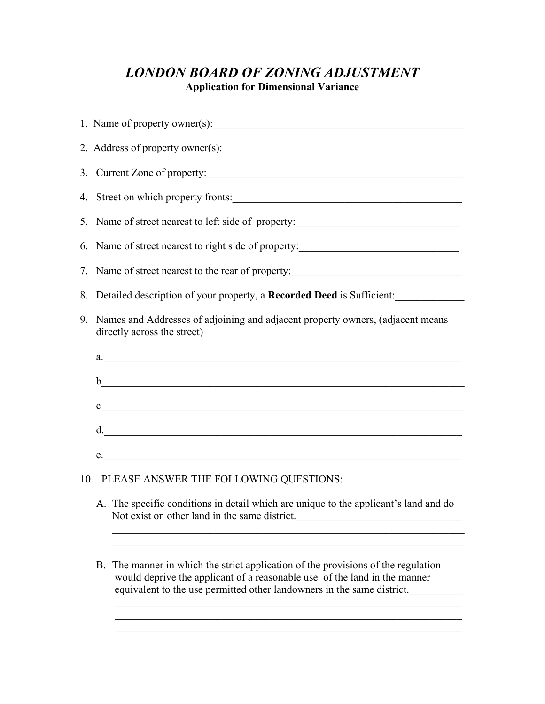# *LONDON BOARD OF ZONING ADJUSTMENT*  **Application for Dimensional Variance**

| 2. Address of property owner(s):                                                                                                                                                                                              |
|-------------------------------------------------------------------------------------------------------------------------------------------------------------------------------------------------------------------------------|
| 3. Current Zone of property:                                                                                                                                                                                                  |
| 4. Street on which property fronts:                                                                                                                                                                                           |
| 5. Name of street nearest to left side of property:                                                                                                                                                                           |
| 6. Name of street nearest to right side of property:                                                                                                                                                                          |
| 7. Name of street nearest to the rear of property:                                                                                                                                                                            |
| 8. Detailed description of your property, a Recorded Deed is Sufficient:                                                                                                                                                      |
| 9. Names and Addresses of adjoining and adjacent property owners, (adjacent means<br>directly across the street)                                                                                                              |
|                                                                                                                                                                                                                               |
|                                                                                                                                                                                                                               |
| $c$ and $c$ and $c$ and $c$ and $c$ and $c$ and $c$ and $c$ and $c$ and $c$ and $c$ and $c$ and $c$ and $c$ and $c$ and $c$ and $c$ and $c$ and $c$ and $c$ and $c$ and $c$ and $c$ and $c$ and $c$ and $c$ and $c$ and $c$ a |
| d.                                                                                                                                                                                                                            |
| e.                                                                                                                                                                                                                            |
| 10. PLEASE ANSWER THE FOLLOWING QUESTIONS:                                                                                                                                                                                    |
| A. The specific conditions in detail which are unique to the applicant's land and do<br>Not exist on other land in the same district.                                                                                         |
| B. The manner in which the strict application of the provisions of the regulation<br>would deprive the applicant of a reasonable use of the land in the manner                                                                |
| equivalent to the use permitted other landowners in the same district.                                                                                                                                                        |

 $\frac{1}{2}$  ,  $\frac{1}{2}$  ,  $\frac{1}{2}$  ,  $\frac{1}{2}$  ,  $\frac{1}{2}$  ,  $\frac{1}{2}$  ,  $\frac{1}{2}$  ,  $\frac{1}{2}$  ,  $\frac{1}{2}$  ,  $\frac{1}{2}$  ,  $\frac{1}{2}$  ,  $\frac{1}{2}$  ,  $\frac{1}{2}$  ,  $\frac{1}{2}$  ,  $\frac{1}{2}$  ,  $\frac{1}{2}$  ,  $\frac{1}{2}$  ,  $\frac{1}{2}$  ,  $\frac{1$ 

 $\mathcal{L}_\mathcal{L} = \{ \mathcal{L}_\mathcal{L} = \{ \mathcal{L}_\mathcal{L} = \{ \mathcal{L}_\mathcal{L} = \{ \mathcal{L}_\mathcal{L} = \{ \mathcal{L}_\mathcal{L} = \{ \mathcal{L}_\mathcal{L} = \{ \mathcal{L}_\mathcal{L} = \{ \mathcal{L}_\mathcal{L} = \{ \mathcal{L}_\mathcal{L} = \{ \mathcal{L}_\mathcal{L} = \{ \mathcal{L}_\mathcal{L} = \{ \mathcal{L}_\mathcal{L} = \{ \mathcal{L}_\mathcal{L} = \{ \mathcal{L}_\mathcal{$ 

 $\mathcal{L}_\text{max} = \frac{1}{2} \sum_{i=1}^n \mathcal{L}_\text{max}(\mathbf{z}_i - \mathbf{z}_i)$